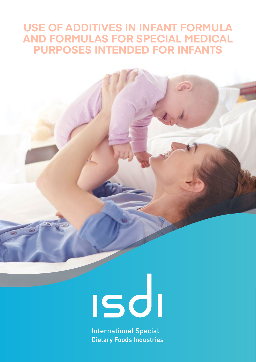## **USE OF ADDITIVES IN INFANT FORMULA AND FORMULAS FOR SPECIAL MEDICAL PURPOSES INTENDED FOR INFANTS**

# 

**International Special Dietary Foods Industries**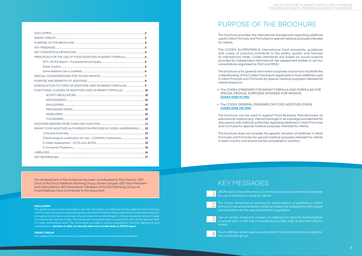#### **DISCLAIMER**

This guidance document is intended to provide information on additives directly added to Infant Formula and Formulas for special medical purposes intended for infants in the context of the Codex Alimentarius. It is for general information purposes only and does not constitute legal or other professional advice. It does not replace the relevant Codex Standards and should be read in conjunction with all the relevant texts at Codex Alimentarius level. The information provided is without prejudice to national regulations and interpretations. *Sections in italic are directly taken from Codex texts or JECFA report.*

#### **TARGET GROUP**

The audience for the brochure is food business manufacturers and national authorities.

## PURPOSE OF THE BROCHURE

The brochure provides the international background regarding additives used in Infant Formula and Formulas for special medical purposes intended for infants.

The CODEX ALIMENTARIUS international food standards, guidelines and codes of practice contribute to the safety, quality and fairness of international trade. Codex standards are based on sound science provided by independent international risk assessment bodies or ad hoc consultations organised by FAO and WHO.

Use of certain functional classes of additives for specific technological purposes play a vital role in manufacturing safe, high quality formulas for **infants** 

The brochure is for general information purposes and aims to facilitate the understanding of the Codex Framework applicable to food additives used in Infant Formula and Formulas for special medical purposes intended for infants based on:

- The CODEX STANDARD FOR INFANT FORMULA AND FORMULAS FOR SPECIAL MEDICAL PURPOSES INTENDED FOR INFANTS. **[CODEX STAN 72-1981](https://www.isdi.org/wp-content/uploads/2020/04/CODEX-STAN-72-1981.pdf)**
- The CODEX GENERAL STANDARD ON FOOD ADDITIVES (GSFA). **[CODEX STAN 192-1995](https://www.isdi.org/wp-content/uploads/2020/04/CODEX-STAN-192-1995.pdf)**

The brochure can be used to support Food Business Manufacturers as educational material (e.g. internal trainings) or as a background element for discussions with national authorities regarding additives in Infant Formulas and Formulas for special medical purposes intended for infants.

The brochure does not consider the specific situation of additives in Infant Formulas and Formulas for special medical purposes intended for infants in each country and should not be considered in isolation.

## KEY MESSAGES

JECFA and Codex Alimentarius Commission principles are the cornerstone for use of additives in foods for infants

The Codex Alimentarius process for authorization of additives in infant formula is robust and ensures a science-based risk assessment with unique considerations for the specialized infant population

Food additives when used as authorized in formulas for infants are safe for

this vulnerable group

| INFANT FOOD ADDITIVES AUTHORISATION PROCESS IN CODEX ALIMENTARIUS12 |  |
|---------------------------------------------------------------------|--|
|                                                                     |  |
|                                                                     |  |
|                                                                     |  |
|                                                                     |  |
|                                                                     |  |
|                                                                     |  |









The development of this brochure has been coordinated by Paul Hanlon, ISDI Chair of the Food Additives Working Group, Xavier Lavigne, ISDI Vice-President and Celine Benini, ISDI Secretariat. Members of the ISDI Working Group on Food Additives have contributed to the document.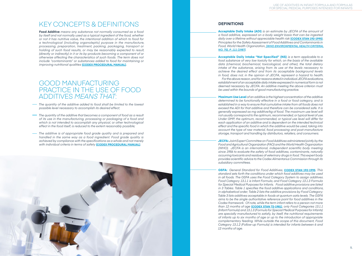## KEY CONCEPTS & DEFINITIONS

**Food Additive** *means any substance not normally consumed as a food by itself and not normally used as a typical ingredient of the food, whether or not it has nutritive value, the intentional addition of which to food for a technological (including organoleptic) purpose in the manufacture, processing, preparation, treatment, packing, packaging, transport or holding of such food results, or may be reasonably expected to result, (directly or indirectly) in it or its by-products becoming a component of or otherwise affecting the characteristics of such foods. The term does not include "contaminants" or substances added to food for maintaining or improving nutritional qualities* **[\(CODEX PROCEDURAL MANUAL\)](https://www.fao.org/fao-who-codexalimentarius/codex-texts/procedural-manual/en/)**.

## GOOD MANUFACTURING PRACTICE IN THE USE OF FOOD ADDITIVES *MEANS THAT*:

- *The quantity of the additive added to food shall be limited to the lowest possible level necessary to accomplish its desired effect;*
- *The quantity of the additive that becomes a component of food as a result of its use in the manufacturing, processing or packaging of a food and which is not intended to accomplish any physical, or other technological effect in the food itself, is reduced to the extent reasonably possible;*
- *The additive is of appropriate food grade quality and is prepared and handled in the same way as a food ingredient. Food grade quality is achieved by compliance with the specifications as a whole and not merely with individual criteria in terms of safety* **[\(CODEX PROCEDURAL MANUAL](https://www.fao.org/fao-who-codexalimentarius/codex-texts/procedural-manual/en/))**.



### **DEFINITIONS**

**Acceptable Daily Intake (ADI)** *is an estimate by JECFA of the amount of a food additive, expressed on a body weight basis that can be ingested daily over a lifetime without appreciable health risk* **[\(CODEX STAN 192-1995](https://www.isdi.org/wp-content/uploads/2020/04/CODEX-STAN-192-1995.pdf))**. *Principles for the Safety Assessment of Food Additives and Contaminants in Food, World Health Organization, [\(WHO ENVIRONMENTAL HEALTH CRITERIA,](https://www.isdi.org/wp-content/uploads/2022/03/WHO-Environmental-Health-Criteria-No.70.pdf) [NO. 70\), P. 111 \(1987\)](https://www.isdi.org/wp-content/uploads/2022/03/WHO-Environmental-Health-Criteria-No.70.pdf)*.

**Acceptable Daily Intake "Not Specified" (NS)** *is a term applicable to a food substance of very low toxicity for which, on the basis of the available data (chemical, biochemical, toxicological, and other), the total dietary intake of the substance, arising from its use at the levels necessary to achieve the desired effect and from its acceptable background levels in food, does not, in the opinion of JECFA, represent a hazard to health. establishment of an acceptable daily intake expressed in numerical form is not deemed necessary by JECFA. An additive meeting the above criterion must be used within the bounds of good manufacturing practice.*

*For the above reason, and for reasons stated in individual JECFA evaluations,* 

**Maximum Use Level** *of an additive is the highest concentration of the additive determined to be functionally effective in a food or food category, and is established in a way to ensure that cumulative intake from all foods does not exceed the ADI for that additive and therefore can be considered safe. It is generally expressed as mg additive/kg of food. The maximum use level will not usually correspond to the optimum, recommended, or typical level of use. Under GMP, the optimum, recommended, or typical use level will differ for each application of an additive and is dependent on the intended technical effect and the specific food in which the additive would be used, taking into account the type of raw material, food processing and post-manufacture storage, transport and handling by distributors, retailers, and consumers.* 

**JECFA:** *Joint Expert Committee on Food Additives administered jointly by the Food and Agricultural Organization (FAO) and the World Health Organization (WHO). JECFA is an international, independent scientific body meeting since 1956 to evaluate the safety of food additives, contaminants, naturally occurring toxicants and residues of veterinary drugs in food. This expert body provides scientific advice to the Codex Alimentarius Commission through its subsidiary committees.*

**GSFA:** *General Standard for Food Additives,* **[CODEX STAN 192-1995](https://www.isdi.org/wp-content/uploads/2020/04/CODEX-STAN-192-1995.pdf)**. *This standard sets forth the conditions under which food additives may be used in all foods. The GSFA uses the Food Category System to assign additives. Food Category 13.1.1 is Infant Formula, and Food Category 13.1.3 Formula for Special Medical Purposes for Infants. Food additive provisions are listed in 3 Tables. Table 1 specifies the food additive applications and conditions, in alphabetical order; Table 2 lists the additive provisions by Food Category; Table 3 lists additives acceptable in foods at quantum satis levels. The GSFA aims to be the single authoritative reference point for food additives in the Codex framework. Of note, while the term infant refers to a person not more than 12 months of age* **[\(CODEX STAN 72-1981\)](https://www.isdi.org/wp-content/uploads/2020/04/CODEX-STAN-72-1981.pdf)**, *only Food Categories 13.1.1 (Infant Formula) and 13.1.3 (Formula for Special Medical Purposes for Infants) are specially manufactured to satisfy, by itself, the nutritional requirements of infants up to six months of age or up to the introduction of appropriate complementary feeding. While outside the scope of this document, Food Category 13.1.2 (Follow-up Formula) is intended for infants between 6 and 12 months of age.*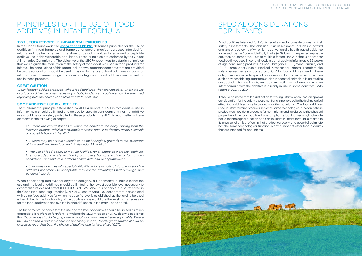Food additives intended for infants require special considerations for their safety assessments. The classical risk assessment includes a hazard analysis, one outcome of which is the derivation of a health-based guidance value such as the Acceptable Daily Intake (ADI), to which expected exposure can then be compared. Due to multiple factors, the ADI that is derived for food additives used in general foods may not apply to infants up to 12 weeks of age consuming products in Food Category 13.1.1 (Infant Formula) and 13.1.3 (Formula for Special Medical Purposes for Infants). Therefore, the safety assessments conducted by JECFA for food additives used in these categories now include special consideration for this sensitive population such as by considering data from studies in neonatal animals, clinical studies conducted in human infants, and post-marketing surveillance data when infant formula with the additive is already in use in some countries (79th report of JECFA, 2014).

It should be noted that the distinction for young infants is focused on special consideration for the safety assessment and is not related to the technological effect that additives have in products for this population. The food additives used in infant formula products serve the same technological function in these products as they do in products for non-infants and is related to the physical properties of the food additive. For example, the fact that ascorbyl palmitate has a technological function of an antioxidant in infant formula is related to its physico-chemical effect in that product category, and ascorbyl palmitate has the same technological function in any number of other food products that are intended for non-infants



## PRINCIPLES FOR THE USE OF FOOD ADDITIVES IN INFANT FORMULA

#### **1971 JECFA REPORT – FUNDAMENTAL PRINCIPLES**

In the Codex framework, the **[JECFA REPORT OF 1971](https://www.isdi.org/wp-content/uploads/2022/03/WHO_TRS_462.pdf)** describes principles for the use of additives in infant formulas and formulas for special medical purposes intended for infants and has become the cornerstone and guiding values for safe and acceptable additive use in this vulnerable population. These principles are endorsed by the Codex Alimentarius Commission. The objective of the JECFA report was to establish principles that would guide the evaluation of the safety of food additives used in food products for infants. The conclusions of this report include two important concepts that are provided below: great caution should be used in regard to the use of food additives in foods for infants under 12 weeks of age; and several categories of food additives are justified for use in these products.

#### **GREAT CAUTION**

*"Baby foods should be prepared without food additives whenever possible. Where the use of a food additive becomes necessary in baby foods, great caution should be exercised regarding both the choice of additive and its level of use."*

#### **SOME ADDITIVE USE IS JUSTIFIED**

The fundamental principle established by JECFA Report in 1971 is that additive use in infant formula should be limited and guided by specific considerations, not that additive use should be completely prohibited in these products. The JECFA report reflects these elements in the following excerpts:

- *"… there are circumstances in which the benefit to the baby arising from the inclusion of some additive, for example a preservative, in its diet may greatly outweigh any possible hazard to health'."*
- *"… there may be certain exceptions on technological grounds to the exclusion of food additives from food for infants under 12 weeks."*
- *"The use of food additives may be justified, for example, to increase shelf life, to ensure adequate sterilization by promoting homogenization, or to maintain consistency and texture in order to ensure safe and acceptable use."*
- *"… in some countries with special difficulties for example, of storage or supply additives not otherwise acceptable may confer advantages that outweigh their potential hazards."*

When considering additives for any food category, a fundamental principle is that the use and the level of additives should be limited to the lowest possible level necessary to accomplish its desired effect (CODEX STAN 192-1995). This principle is also reflected in the Good Manufacturing Practice (GMP) or Quantum Satis (QS) concept that is associated with some food additives for which no specific level is established, as the level to be used is then linked to the functionality of the additive – one would use the level that is necessary for the food additive to achieve the intended function in the matrix considered.

The fundamental principle that the use and the level of additives should be limited as much as possible is reinforced for Infant Formula as the JECFA report on 1971 clearly establishes that *"baby foods should be prepared without food additives whenever possible. Where the use of a foo d additive becomes necessary in baby foods, great caution should be exercised regarding both the choice of additive and its level of use"* (1971).

## SPECIAL CONSIDERATIONS FOR INFANTS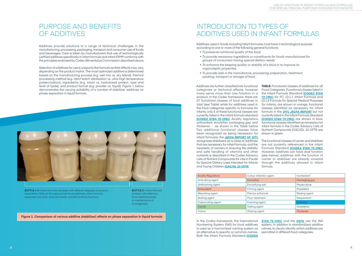Additives provide solutions to a range of technical challenges in the manufacturing, processing, packaging, transport and consumer use of foods and beverages. Care is taken by manufacturers that use of technologically justified additives specifically in infant formula and infant FSMP conforms with the principles endorsed by Codex Alimentarius Commission described above.

Selection of additives for use is unique to the formula as their effects may vary depending on the product matrix. The most optimized additive is determined based on the manufacturing process (e.g. wet mix vs. dry blend), thermal processing method (e.g. retort batch sterilization vs. ultra-high temperature pasteurization), ingredients (e.g. intact vs. hydrolysed protein, type and level of lipids), and product format (e.g. powder vs. liquid). Figure 1 below demonstrates the varying suitability of a number of stabilizer additives on phase separation in liquid formula.

Additives used in foods including infant formulas must have a technological purpose according to one or more of the following general functions:

- *To preserve nutritional quality of the food;*
- *To provide necessary ingredients or constituents for foods manufactured for groups of consumers having special dietary needs;*
- *To enhance the keeping quality or stability of a food or to improve its organoleptic properties;*
- *To provide aids in the manufacture, processing, preparation, treatment, packing, transport or storage of food.*

**TABLE:** Functional classes of additives for all Food Categories. Functional classes listed in the Infant Formula Standard **[\(CODEX STAN](https://www.isdi.org/wp-content/uploads/2020/04/CODEX-STAN-72-1981.pdf)  [72-1981\)](https://www.isdi.org/wp-content/uploads/2020/04/CODEX-STAN-72-1981.pdf)** for FC 13.1.1 Infant Formula and for Infants, are shown in orange; functional formula in the **[1971 JECFA REPORT](https://www.isdi.org/wp-content/uploads/2022/03/WHO_TRS_462.pdf)** but not currently listed in the Infant Formula Standard **([CODEX STAN 72-1981\)](https://www.isdi.org/wp-content/uploads/2020/04/CODEX-STAN-72-1981.pdf)** are shown in blue;

Additives are further classified into functional categories or technical effects; however, many serve more than one function in a product. In the Codex framework, there are 27 functional classes of food additives in 13.1.3 Formula for Special Medical Purposes total (see Table) while for additives used in the food categories specific to formulas for classes identified as necessary for infant infants, only 5 of these functional classes are currently listed in the infant formula standard **([CODEX STAN 72-1981](https://www.isdi.org/wp-content/uploads/2020/04/CODEX-STAN-72-1981.pdf))**: Acidity regulators, antioxidant, emulsifier, packaging gas, and thickener - as shown in the Table below. Two additional functional classes have been recognized as being necessary for infant formulas: the **[JECFA REPORT OF 1971](https://www.isdi.org/wp-content/uploads/2022/03/WHO_TRS_462.pdf)** recognizes stabilizers as a class of additives that are necessary for infant formula, and the necessity of carriers in ensuring the stability and safe handling of vitamins and other nutrients is described in the Codex Advisory Lists of Nutrient Compounds for Use in Foods for Special Dietary Uses Intended for Infants

and Young Children **[\(CAC/GL 10-1979](https://www.isdi.org/wp-content/uploads/2020/04/CAC-GL-10-1979.pdf))**.

functional classes identified as necessary for infant formula in the Codex Advisory Lists of Nutrient Compounds (CAC/GL 10-1979) are shown in green. The functional classes of carrier and stabilizer are not currently referenced in the Infant Formula Standard **([CODEX STAN 72-1981](https://www.isdi.org/wp-content/uploads/2020/04/CODEX-STAN-72-1981.pdf))**. However, additives can have dual function (see below), additives with the function of carrier or stabiliser are already covered through the additives allowed in infant formula.

In the Codex framework, the International Numbering System (INS) for food additives system, in addition to standardized additive is used as a harmonized naming system as names, to clearly identify which additives are an alternative to specific or common names. Both the Infant Formula Standard **[\(CODEX](https://www.isdi.org/wp-content/uploads/2020/04/CODEX-STAN-72-1981.pdf)** 

**[STAN 72-1981](https://www.isdi.org/wp-content/uploads/2020/04/CODEX-STAN-72-1981.pdf))** and the **[GSFA](https://www.isdi.org/wp-content/uploads/2020/04/CODEX-STAN-192-1995.pdf)** use the INS permitted in different food categories.

| <b>Acidity Regulators</b> | Colour retention agent | Humectant        |
|---------------------------|------------------------|------------------|
| Anticaking agent          | Emulsifier             | Packaging gas    |
| Antifoaming agent         | Emulsifying salt       | Preservative     |
| Antioxidant               | Firming agent          | Propellant       |
| Bleaching agent           | Flavour enhancer       | Raising agent    |
| <b>Bulking agent</b>      | Flour treatment        | Sequestrant      |
| Carbonating agent         | Foaming agent          | Stabilizer       |
| Carrier                   | Gelling agent          | Sweetener        |
| Colour                    | Glazing agent          | <b>Thickener</b> |

# INTRODUCTION TO TYPES OF ADDITIVES USED IN INFANT FORMULAS

## PURPOSE AND BENEFITS OF ADDITIVES

**Figure 1. Comparison of various additive (stabilizer) effects on phase separation in liquid formula** 



**BOTTLE 1-4 :** Infant formula samples with different degrees of product separation. Without the appropriate food additives, infant formula separates into lipid- (top) and water-soluble (bottom) fractions

**BOTTLE 5 :** Infant formula product with effective food additives leads to maintenance of homogeneity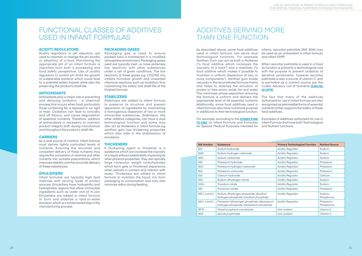## FUNCTIONAL CLASSES OF ADDITIVES USED IN INFANT FORMULAS

# ADDITIVES SERVING MORE THAN ONE FUNCTION

#### **ACIDITY REGULATORS**

Acidity regulators, or pH adjustors, are used to maintain or change the pH (acidity or alkalinity) of a food. Maintaining the appropriate pH of an infant formula is important from both a processing and food safety perspective. Use of acidity regulators to control pH limits the growth of undesirable bacteria which could lead to a potential safety hazard while also the preserving the product's shelf-life.

#### **ANTIOXIDANTS**

Antioxidants play a major role in preventing and delaying oxidation - a chemical process that occurs when food, particularly those containing fat, is exposed to air, light or heat. Oxidation can lead to rancidity and off flavors, and cause degradation of essential nutrients. Therefore, addition of antioxidants is necessary to maintain product integrity both during manufacture and throughout the product's shelf-life.

#### **CARRIERS**

As a sole source of nutrition, infant formula must deliver tightly controlled levels of nutrients. Ensuring the accurate and consistent delivery of these nutrients may require the conversion of vitamins and other nutrients into suitable preparations, which improves stability and the accurate delivery of these substances.

#### **EMULSIFIERS**

Infant formulas are typically high lipid matrices with varying types of protein sources. Emulsifiers have hydrophilic and hydrophobic regions that allow immiscible ingredients such as water and oil to join. Emulsifiers are added to infant formula to form and stabilize a lipid-in-water emulsion which is a fundamental step in the manufacturing process.

#### **PACKAGING GASES**

Packaging gas is used to ensure packed food is maintained in a modified atmosphere environment. Packaging gases used are typically inert. i.e. have extremely low reactivity with other substances under a set of given conditions. The low reactivity of these gases e.g. CO2/N2 mix, inhibits microbial growth and unwanted chemical reactions such as oxidation, thus maintaining the safety and shelf-life of the finished formula.

#### **STABILIZERS**

Stabilizers are added to infant formula to preserve its structure and prevent separation of ingredients by maintaining a homogenous dispersion of two or more immiscible substances. Stabilizers, like other additive categories, can have a dual technological function and some may also act as thickeners in infant formula e.g. xanthan gum has thickening properties which also aids in the stabilization of emulsions.

#### **THICKENERS**

A thickening agent or thickener is a substance which can increase the viscosity of a liquid without substantially impacting its other physical properties. They are typically large molecular weight carbohydrates which form gels or thickened dispersions when placed in contact and interact with water. Thickeners are added to infant formula to maintain the liquid mix from packaging to consumption and may also minimize reflux during feeding.

As described above, some food additives used in infant formula can serve dual technological functions. For example, and infant FSMP. Xanthan Gum can act as both a thickener viscosity of a food") and a stabilizer ("a food additive which makes it possible to maintain a uniform dispersion of two or more components"). Xanthan gum builds palmitate is also a source of vitamin C, and viscosity in the reconstituted formula matrix is permitted as a nutrient source per the and helps to stabilize the emulsion of Codex Advisory List of Nutrients **([CAC/GL](https://www.isdi.org/wp-content/uploads/2020/04/CAC-GL-10-1979.pdf)**  protein or free amino acids, fat and water. **[10-1979\)](https://www.isdi.org/wp-content/uploads/2020/04/CAC-GL-10-1979.pdf)**. This minimizes phase separation ensuring the formula is uniform and delivers the appropriate level of all essential nutrients. Additionally, some food additives used in infant formula also have nutritional purpose in additional to their technological function.

("a food additive which increases the When ascorbyl palmitate is used in a food, its function is primarily a technological one, with the purpose to prevent oxidation of sensitive constituents however ascorbyl

infants, ascorbyl palmitate (INS 304i) may be used as an antioxidant in infant formula

For example, according to the **[CODEX STAN](https://www.isdi.org/wp-content/uploads/2020/04/CODEX-STAN-72-1981.pdf)  [72-1981](https://www.isdi.org/wp-content/uploads/2020/04/CODEX-STAN-72-1981.pdf)** on Infant Formula and Formulas for Special Medical Purposes intended for and Nutrient functions:

The fact that many of the additives authorized for use in infant formula are also recognized as permissible forms of essential nutrients further supports the safety of these food additives.

Examples of Additives authorised for use in Infant Formula that have both Technological

| <b>INS Number</b> | <b>Substance</b>                                                                          | <b>Primary Technological Function</b> | <b>Nutrient Source</b>   |
|-------------------|-------------------------------------------------------------------------------------------|---------------------------------------|--------------------------|
| 524               | Sodium hydroxide                                                                          | <b>Acidity Regulator</b>              | Sodium                   |
| 500ii             | Sodium hydrogen carbonate                                                                 | <b>Acidity Regulator</b>              | Sodium                   |
| 500i              | Sodium carbonate                                                                          | <b>Acidity Regulator</b>              | Sodium                   |
| 525               | Potassium hydroxide                                                                       | <b>Acidity Regulator</b>              | Potassium                |
| 501ii             | Potassium hydrogen carbonate                                                              | <b>Acidity Regulator</b>              | Potassium                |
| 501i              | Potassium carbonate                                                                       | <b>Acidity Regulator</b>              | Potassium                |
| 526               | Calcium hydroxide                                                                         | <b>Acidity Regulator</b>              | Calcium                  |
| 331i              | Sodium dihydrogen citrate                                                                 | <b>Acidity Regulator</b>              | Sodium                   |
| 331iii            | Trisodium citrate                                                                         | <b>Acidity Regulator</b>              | Sodium                   |
| 332               | Potassium citrate                                                                         | <b>Acidity Regulator</b>              | Potassium                |
| 339 i, ii and iii | Sodium dihydrogen phosphate, disodium<br>hydrogen phosphate, trisodium phosphate          | <b>Acidity Regulator</b>              | Sodium.<br>Phosphorus    |
| 340 i, ii and iii | Potassium dihydrogen phosphate, dipotassium<br>hydrogen phosphate, tripotassium phosphate | <b>Acidity Regulator</b>              | Potassium.<br>Phosphorus |
| 307b              | Mixed tocopherol concentrate                                                              | Anti-oxidant                          | Vitamin E                |
| 304i              | Ascorbyl palmitate                                                                        | Anti-oxidant                          | Vitamin C                |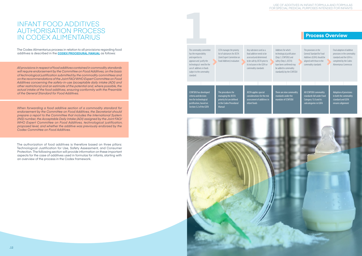The Codex Alimentarius process in relation to all provisions regarding food additives is described in the **[CODEX PROCEDURAL MANUAL](https://www.fao.org/fao-who-codexalimentarius/codex-texts/procedural-manual/en/)** as follows:

*All provisions in respect of food additives contained in commodity standards will require endorsement by the Committee on Food Additives, on the basis of technological justification submitted by the commodity committees and on the recommendations of the Joint FAO/WHO Expert Committee on Food Additives concerning the safety-in-use (acceptable daily intake (ADI) and other restrictions) and an estimate of the potential and, where possible, the actual intake of the food additives, ensuring conformity with the Preamble of the General Standard for Food Additives.*

The commodity committee has the responsibility and expertise to appraise and justify the technological need for the use of additives in foods subject to the commodity standard. CCNFSDU has developed criteria and decision tree for technological justification, based on Section 3.2 of the GSFA The procedures for managing the JECFA priority list are defined in the Codex Procedural Manual JECFA applies special considerations for the risk assessment of additives in infant foods CCFA manages the priority list of substances for JECFA (Joint Expert Committee on Food Additives) evaluation Any substance used as a food additive needs to be assessed and determined to be safe by JECFA prior to its inclusion in the GSFA or commodity standards **1**<br>The commodity commit



*When forwarding a food additive section of a commodity standard for endorsement by the Committee on Food Additives, the Secretariat should prepare a report to the Committee that includes the International System (INS) number, the Acceptable Daily Intake (ADI) assigned by the Joint FAO/ WHO Expert Committee on Food Additives, technological justification, proposed level, and whether the additive was previously endorsed by the Codex Committee on Food Additives.*

There are nine commodit standards under the mandate of CCNFSDU

The authorization of food additives is therefore based on three pillars: Technological Justification for Use, Safety Assessment, and Consumer Protection. The following section will provide information on these important aspects for the case of additives used in formulas for infants, starting with an overview of the process in the Codex framework.

## **Process Overview**

## INFANT FOOD ADDITIVES AUTHORISATION PROCESS IN CODEX ALIMENTARIUS

All CCNFSDU commodity standards fall under Food Category 13.0 and its subcategories in GSFA

Adoption of provisions in both the commodity standard and GSFA ensures alignment

Additives for which technological justification (Step 1, CCNFSDU) and safety (Step 3, JECFA) have been confirmed may be added to commodity standard(s) by the CCNFSDU The provisions in the General Standard for Food Additives (GSFA) should be aligned with those in the commodity standards

Final adoption of additive provisions in the commodity standard and the GSFA is completed by the Codex Alimentarius Commissio

#### USE OF ADDITIVES IN INFANT FORMULA AND FORMULAS FOR SPECIAL MEDICAL PURPOSES INTENDED FOR INFANTS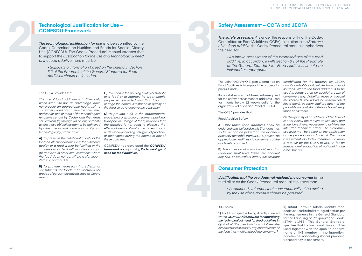• *Supporting information based on the criteria in Section 3.2 of the Preamble of the General Standard for Food Additives should be included.*

The GSFA provides that:

*The use of food additives is justified only when such use has an advantage, does not present an appreciable health risk to consumers, does not mislead the consumer, and serves one or more of the technological functions set out by Codex and the needs set out from (a) through (d) below, and only where these objectives cannot be achieved by other means that are economically and technologically practicable:*

**A)** *To preserve the nutritional quality of the food; an intentional reduction in the nutritional quality of a food would be justified in the circumstances dealt with in sub-paragraph (b) and also in other circumstances where the food does not constitute a significant item in a normal diet;*

The Joint FAO/WHO Expert Committee Food Additives is to support the process pillars 1 and 2.

It is also to be noted that the expertise requ for the safety assessment of additives use for infants below 12 weeks calls for organization of a specific Panel of JECFA.

**B)** *To provide necessary ingredients or constituents for foods manufactured for groups of consumers having special dietary needs;*

A) Only those food additives shall *endorsed and included in this Standard i so far as can be judged on the evide. presently available from JECFA, present appreciable health risk to consumers at use levels proposed.*

**C)** *To enhance the keeping quality or stability of a food or to improve its organoleptic properties, provided that this does not change the nature, substance or quality of the food so as to deceive the consumer;*

**D)** *To provide aids in the manufacture, processing, preparation, treatment, packing, transport or storage of food, provided that the additive is not used to disguise the effects of the use of faulty raw materials or of undesirable (including unhygienic) practices or techniques during the course of any of these activities.*

CCNFSDU has developed the *CCNFSDU framework for appraising the technological need for food additives.* 

*The safety assessment* is under the responsibility of the Codex Committee on Food Additives (CCFA). In relation to the *Safe use of the food additive* the Codex Procedural manual emphasizes the need for

The GFSA provides that:

Food Additive Safety

*The technological justification for use* is to be submitted by the Codex Committee on Nutrition and Foods for Special Dietary Use (CCNFSDU). The Codex Procedural Manual stresses that to support the *Justification for the use and technological need of the food additive* there must be: **2 3**

> **B)** *The inclusion of a food additive in this Standard shall have taken into account any ADI, or equivalent safety assessment independent evaluation of national intake assessments.*

| e on<br>s for<br>uired<br>used<br>the<br>Д. | established for the additive by JECFA<br>and its probable daily intake from all food<br>sources. Where the food additive is to be<br>used in foods eaten by special groups of<br>consumers (e.g. diabetics, those on special<br>medical diets, sick individuals on formulated<br>liquid diets), account shall be taken of the<br>probable daily intake of the food additive by<br>those consumers. |
|---------------------------------------------|----------------------------------------------------------------------------------------------------------------------------------------------------------------------------------------------------------------------------------------------------------------------------------------------------------------------------------------------------------------------------------------------------|
| ' be<br>that.<br>nce<br>nt no<br>t the      | C) The quantity of an additive added to food<br>is at or below the maximum use level and<br>is the lowest level necessary to achieve the<br>intended technical effect. The maximum<br>use level may be based on the application<br>of the procedures of Annex A, the intake<br>assessment of Codex members or upon<br>a request by the CCFA to JECFA for an                                        |

#### ISDI notes:

**1)** That this aspect is being directly covered by the *CCNFSDU framework for appraising the technological need for food additives* in Q2.4 *Would the use of this food additive in the intended food(s) modify any characteristic of the food that might mislead the consumer?*

**2)** Infant Formula labels identify food additives used in the list of ingredients as per the requirements in the General Standard for the Labelling of Pre-packaged Foods (STAN 1-1985). This General Standard specifies that the functional class shall be used together with the specific additive name or INS number in the ingredient panel (or per national legislation), providing transparency to consumers.

• *An intake assessment of the proposed use of the food additive, in accordance with Section 3.1 of the Preamble of the General Standard for Food Additives, should be included as appropriate.*

*Justification that the use does not mislead the consumer* is the third pillar as the Codex Procedural manual stipulates that:

• *A reasoned statement that consumers will not be misled by the use of the additive should be provided.*

## **Technological Justification for Use – CCNFSDU Framework**

## **Safety Assessment – CCFA and JECFA**

## **Consumer Protection**

**4**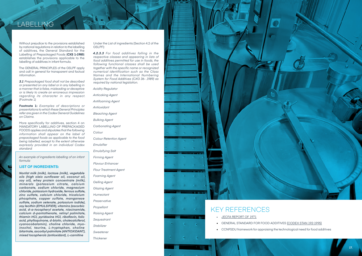

• CCNFSDU framework for appraising the technological need for food additives

## LABELLING

Without prejudice to the provisions established by national regulations in relation to the labelling of additives, the General Standard for the Labelling of Prepackaged Foods (**CXS 1-1985**) establishes the provisions applicable to the labelling of additives in infant formula.

The GENERAL PRINCIPLES of the GSLPF apply and call in general for transparent and factual information.

*3.1 Prepackaged food shall not be described or presented on any label or in any labelling in a manner that is false, misleading or deceptive or is likely to create an erroneous impression regarding its character in any respect.*  (Footnote 1)

**Footnote 1:** *Examples of descriptions or presentations to which these General Principles refer are given in the Codex General Guidelines on Claims.*

More specifically for additives, section 4 on MANDATORY LABELLING OF PREPACKAGED FOODS applies and stipulates that *the following information shall appear on the label of prepackaged foods as applicable to the food being labelled, except to the extent otherwise expressly provided in an individual Codex standard:*

*An example of ingredients labelling of an infant formula:* 

#### **LIST OF INGREDIENTS:**

*Nonfat milk (milk), lactose (milk), vegetable oils (high oleic sunflower oil, coconut oil, soy oil), whey protein concentrate (milk), minerals (potassium citrate, calcium carbonate, sodium chloride, magnesium chloride, potassium hydroxide, ferrous sulfate, zinc sulfate, calcium chloride, tricalcium phosphate, copper sulfate, manganese sulfate, sodium selenate, potassium iodide), soy lecithin (EMULSIFIER), vitamins (ascorbic acid, d-a-tocopheryl acetate, niacinamide, calcium d-pantothenate, retinyl palmitate, thiamin HCl, pyridoxine HCl, riboflavin, folic acid, phylloquinone, d-biotin, cholecalciferol, cyanocobalamin), choline chloride, myoinositol, taurine, L-tryptophan, choline bitartrate, ascorbyl palmitate (ANTIOXIDANT), mixed tocopherols (antioxidant), L-carnitine*

Under the List of ingredients (Section 4.2 of the GSLPF):

*4.2.3.3 For food additives falling in the respective classes and appearing in lists of food additives permitted for use in foods, the following functional classes shall be used together with the specific name or recognized numerical identification such as the Class Names and the International Numbering System for Food Additives (CXG 36- 1989) as required by national legislation.* 

*Acidity Regulator Anticaking Agent Antifoaming Agent Antioxidant Bleaching Agent Bulking Agent Carbonating Agent Colour Colour Retention Agent Emulsifier Emulsifying Salt Firming Agent Flavour Enhancer Flour Treatment Agent Foaming Agent Gelling Agent Glazing Agent Humectant Preservative Propellant Raising Agent Sequestrant Stabilizer Sweetener Thickener*